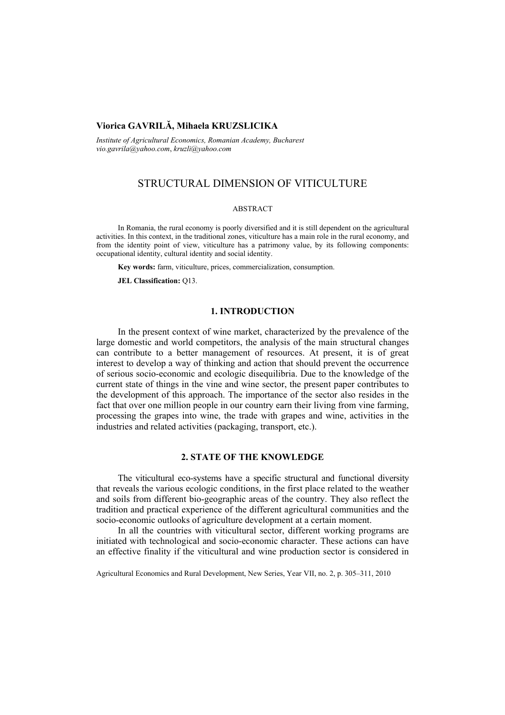# **Viorica GAVRILĂ, Mihaela KRUZSLICIKA**

*Institute of Agricultural Economics, Romanian Academy, Bucharest vio.gavrila@yahoo.com*, *kruzli@yahoo.com* 

# STRUCTURAL DIMENSION OF VITICULTURE

### ABSTRACT

In Romania, the rural economy is poorly diversified and it is still dependent on the agricultural activities. In this context, in the traditional zones, viticulture has a main role in the rural economy, and from the identity point of view, viticulture has a patrimony value, by its following components: occupational identity, cultural identity and social identity.

**Key words:** farm, viticulture, prices, commercialization, consumption.

**JEL Classification:** Q13.

## **1. INTRODUCTION**

In the present context of wine market, characterized by the prevalence of the large domestic and world competitors, the analysis of the main structural changes can contribute to a better management of resources. At present, it is of great interest to develop a way of thinking and action that should prevent the occurrence of serious socio-economic and ecologic disequilibria. Due to the knowledge of the current state of things in the vine and wine sector, the present paper contributes to the development of this approach. The importance of the sector also resides in the fact that over one million people in our country earn their living from vine farming, processing the grapes into wine, the trade with grapes and wine, activities in the industries and related activities (packaging, transport, etc.).

## **2. STATE OF THE KNOWLEDGE**

The viticultural eco-systems have a specific structural and functional diversity that reveals the various ecologic conditions, in the first place related to the weather and soils from different bio-geographic areas of the country. They also reflect the tradition and practical experience of the different agricultural communities and the socio-economic outlooks of agriculture development at a certain moment.

In all the countries with viticultural sector, different working programs are initiated with technological and socio-economic character. These actions can have an effective finality if the viticultural and wine production sector is considered in

Agricultural Economics and Rural Development, New Series, Year VII, no. 2, p. 305–311, 2010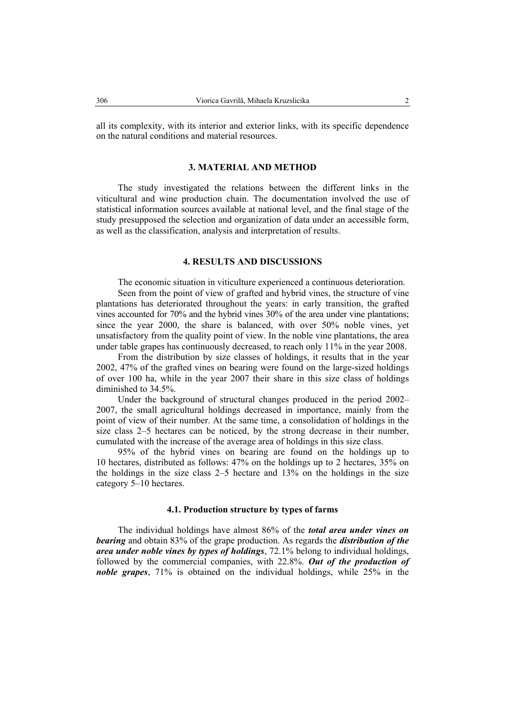all its complexity, with its interior and exterior links, with its specific dependence on the natural conditions and material resources.

## **3. MATERIAL AND METHOD**

The study investigated the relations between the different links in the viticultural and wine production chain. The documentation involved the use of statistical information sources available at national level, and the final stage of the study presupposed the selection and organization of data under an accessible form, as well as the classification, analysis and interpretation of results.

## **4. RESULTS AND DISCUSSIONS**

The economic situation in viticulture experienced a continuous deterioration.

Seen from the point of view of grafted and hybrid vines, the structure of vine plantations has deteriorated throughout the years: in early transition, the grafted vines accounted for 70% and the hybrid vines 30% of the area under vine plantations; since the year 2000, the share is balanced, with over 50% noble vines, yet unsatisfactory from the quality point of view. In the noble vine plantations, the area under table grapes has continuously decreased, to reach only 11% in the year 2008.

From the distribution by size classes of holdings, it results that in the year 2002, 47% of the grafted vines on bearing were found on the large-sized holdings of over 100 ha, while in the year 2007 their share in this size class of holdings diminished to 34.5%.

Under the background of structural changes produced in the period 2002– 2007, the small agricultural holdings decreased in importance, mainly from the point of view of their number. At the same time, a consolidation of holdings in the size class 2–5 hectares can be noticed, by the strong decrease in their number, cumulated with the increase of the average area of holdings in this size class.

95% of the hybrid vines on bearing are found on the holdings up to 10 hectares, distributed as follows: 47% on the holdings up to 2 hectares, 35% on the holdings in the size class 2–5 hectare and 13% on the holdings in the size category 5–10 hectares.

## **4.1. Production structure by types of farms**

The individual holdings have almost 86% of the *total area under vines on bearing* and obtain 83% of the grape production. As regards the *distribution of the area under noble vines by types of holdings*, 72.1% belong to individual holdings, followed by the commercial companies, with 22.8%. *Out of the production of noble grapes*, 71% is obtained on the individual holdings, while 25% in the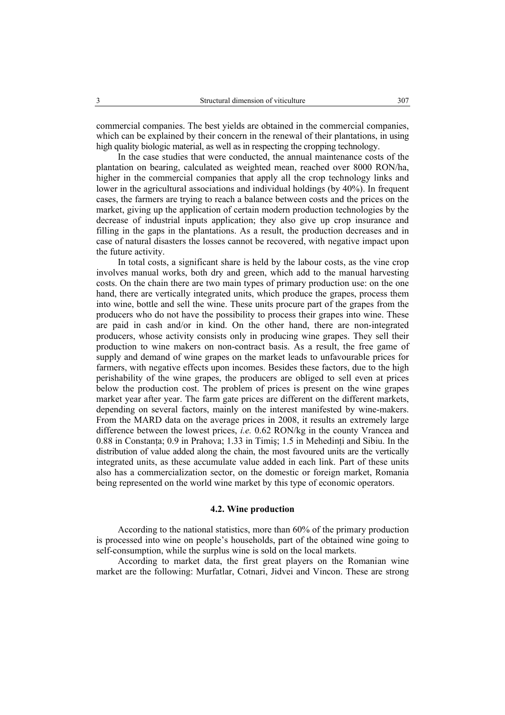commercial companies. The best yields are obtained in the commercial companies, which can be explained by their concern in the renewal of their plantations, in using high quality biologic material, as well as in respecting the cropping technology.

In the case studies that were conducted, the annual maintenance costs of the plantation on bearing, calculated as weighted mean, reached over 8000 RON/ha, higher in the commercial companies that apply all the crop technology links and lower in the agricultural associations and individual holdings (by 40%). In frequent cases, the farmers are trying to reach a balance between costs and the prices on the market, giving up the application of certain modern production technologies by the decrease of industrial inputs application; they also give up crop insurance and filling in the gaps in the plantations. As a result, the production decreases and in case of natural disasters the losses cannot be recovered, with negative impact upon the future activity.

In total costs, a significant share is held by the labour costs, as the vine crop involves manual works, both dry and green, which add to the manual harvesting costs. On the chain there are two main types of primary production use: on the one hand, there are vertically integrated units, which produce the grapes, process them into wine, bottle and sell the wine. These units procure part of the grapes from the producers who do not have the possibility to process their grapes into wine. These are paid in cash and/or in kind. On the other hand, there are non-integrated producers, whose activity consists only in producing wine grapes. They sell their production to wine makers on non-contract basis. As a result, the free game of supply and demand of wine grapes on the market leads to unfavourable prices for farmers, with negative effects upon incomes. Besides these factors, due to the high perishability of the wine grapes, the producers are obliged to sell even at prices below the production cost. The problem of prices is present on the wine grapes market year after year. The farm gate prices are different on the different markets, depending on several factors, mainly on the interest manifested by wine-makers. From the MARD data on the average prices in 2008, it results an extremely large difference between the lowest prices, *i.e.* 0.62 RON/kg in the county Vrancea and 0.88 in Constanta; 0.9 in Prahova; 1.33 in Timis; 1.5 in Mehedinti and Sibiu. In the distribution of value added along the chain, the most favoured units are the vertically integrated units, as these accumulate value added in each link. Part of these units also has a commercialization sector, on the domestic or foreign market, Romania being represented on the world wine market by this type of economic operators.

### **4.2. Wine production**

According to the national statistics, more than 60% of the primary production is processed into wine on people's households, part of the obtained wine going to self-consumption, while the surplus wine is sold on the local markets.

According to market data, the first great players on the Romanian wine market are the following: Murfatlar, Cotnari, Jidvei and Vincon. These are strong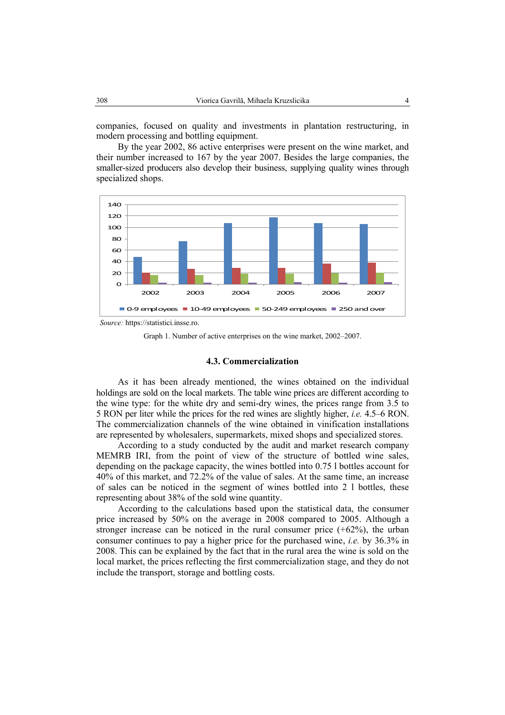companies, focused on quality and investments in plantation restructuring, in modern processing and bottling equipment.

By the year 2002, 86 active enterprises were present on the wine market, and their number increased to 167 by the year 2007. Besides the large companies, the smaller-sized producers also develop their business, supplying quality wines through specialized shops.



*Source:* https://statistici.insse.ro.

Graph 1. Number of active enterprises on the wine market, 2002–2007.

## **4.3. Commercialization**

As it has been already mentioned, the wines obtained on the individual holdings are sold on the local markets. The table wine prices are different according to the wine type: for the white dry and semi-dry wines, the prices range from 3.5 to 5 RON per liter while the prices for the red wines are slightly higher, *i.e.* 4.5–6 RON. The commercialization channels of the wine obtained in vinification installations are represented by wholesalers, supermarkets, mixed shops and specialized stores.

According to a study conducted by the audit and market research company MEMRB IRI, from the point of view of the structure of bottled wine sales, depending on the package capacity, the wines bottled into 0.75 l bottles account for 40% of this market, and 72.2% of the value of sales. At the same time, an increase of sales can be noticed in the segment of wines bottled into 2 l bottles, these representing about 38% of the sold wine quantity.

According to the calculations based upon the statistical data, the consumer price increased by 50% on the average in 2008 compared to 2005. Although a stronger increase can be noticed in the rural consumer price  $(+62%)$ , the urban consumer continues to pay a higher price for the purchased wine, *i.e.* by 36.3% in 2008. This can be explained by the fact that in the rural area the wine is sold on the local market, the prices reflecting the first commercialization stage, and they do not include the transport, storage and bottling costs.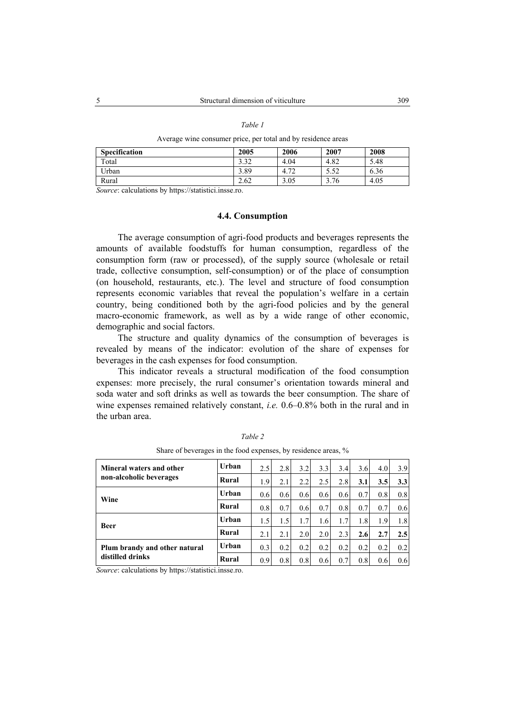### *Table 1*

Average wine consumer price, per total and by residence areas

| <b>Specification</b> | 2005         | 2006                | 2007        | 2008 |
|----------------------|--------------|---------------------|-------------|------|
| Total                | 2.22<br>3.32 | 4.04                | 4.82        | 5.48 |
| Urban                | 3.89         | $\mathbf{z}$<br>4.1 | 50<br>⊿ں. ر | 6.36 |
| Rural                | 2.62         | 3.05                | 3.76        | 4.05 |

*Source*: calculations by https://statistici.insse.ro.

### **4.4. Consumption**

The average consumption of agri-food products and beverages represents the amounts of available foodstuffs for human consumption, regardless of the consumption form (raw or processed), of the supply source (wholesale or retail trade, collective consumption, self-consumption) or of the place of consumption (on household, restaurants, etc.). The level and structure of food consumption represents economic variables that reveal the population's welfare in a certain country, being conditioned both by the agri-food policies and by the general macro-economic framework, as well as by a wide range of other economic, demographic and social factors.

The structure and quality dynamics of the consumption of beverages is revealed by means of the indicator: evolution of the share of expenses for beverages in the cash expenses for food consumption.

This indicator reveals a structural modification of the food consumption expenses: more precisely, the rural consumer's orientation towards mineral and soda water and soft drinks as well as towards the beer consumption. The share of wine expenses remained relatively constant, *i.e.* 0.6–0.8% both in the rural and in the urban area.

| <b>Mineral waters and other</b><br>non-alcoholic beverages | Urban | 2.5 | 2.8 | 3.2 | 3.3 <sub>1</sub> | 3.4 | 3.6 | 4.0 | 3.9 |
|------------------------------------------------------------|-------|-----|-----|-----|------------------|-----|-----|-----|-----|
|                                                            | Rural | 1.9 | 2.1 | 2.2 | 2.5              | 2.8 | 3.1 | 3.5 | 3.3 |
| Wine                                                       | Urban | 0.6 | 0.6 | 0.6 | 0.6              | 0.6 | 0.7 | 0.8 | 0.8 |
|                                                            | Rural | 0.8 | 0.7 | 0.6 | 0.7              | 0.8 | 0.7 | 0.7 | 0.6 |
| <b>Beer</b>                                                | Urban | 1.5 | 1.5 | 1.7 | 1.6              | 1.7 | 1.8 | 1.9 | 1.8 |
|                                                            | Rural | 2.1 | 2.1 | 2.0 | 2.0              | 2.3 | 2.6 | 2.7 | 2.5 |
| Plum brandy and other natural<br>distilled drinks          | Urban | 0.3 | 0.2 | 0.2 | 0.2              | 0.2 | 0.2 | 0.2 | 0.2 |
|                                                            | Rural | 0.9 | 0.8 | 0.8 | 0.6              | 0.7 | 0.8 | 0.6 | 0.6 |

*Table 2*  Share of beverages in the food expenses, by residence areas, %

*Source*: calculations by https://statistici.insse.ro.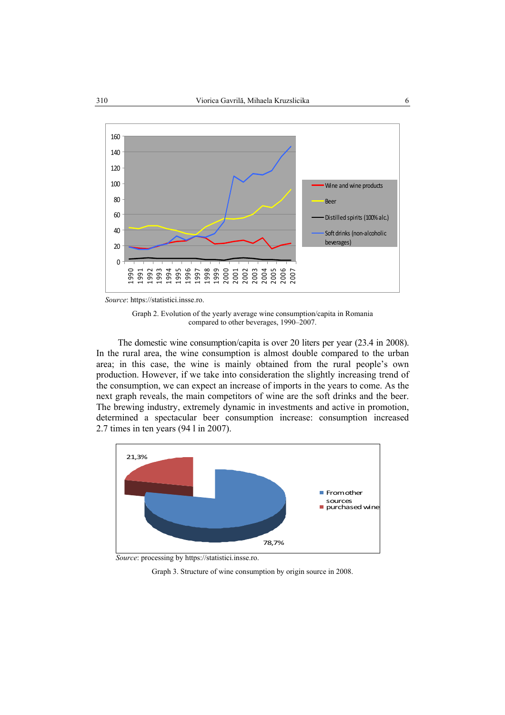

*Source*: https://statistici.insse.ro.

Graph 2. Evolution of the yearly average wine consumption/capita in Romania compared to other beverages, 1990–2007.

The domestic wine consumption/capita is over 20 liters per year (23.4 in 2008). In the rural area, the wine consumption is almost double compared to the urban area; in this case, the wine is mainly obtained from the rural people's own production. However, if we take into consideration the slightly increasing trend of the consumption, we can expect an increase of imports in the years to come. As the next graph reveals, the main competitors of wine are the soft drinks and the beer. The brewing industry, extremely dynamic in investments and active in promotion, determined a spectacular beer consumption increase: consumption increased 2.7 times in ten years (94 l in 2007).



*Source*: processing by https://statistici.insse.ro.

Graph 3. Structure of wine consumption by origin source in 2008.